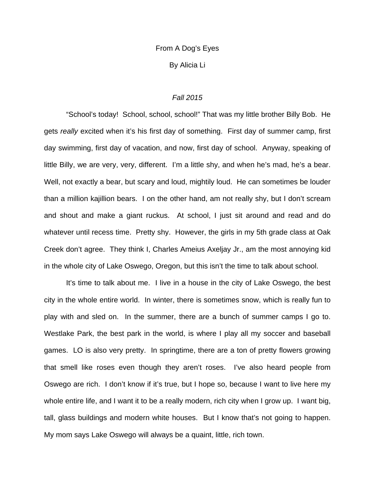# From A Dog's Eyes

By Alicia Li

### *Fall 2015*

 "School's today! School, school, school!" That was my little brother Billy Bob. He gets *really* excited when it's his first day of something. First day of summer camp, first day swimming, first day of vacation, and now, first day of school. Anyway, speaking of little Billy, we are very, very, different. I'm a little shy, and when he's mad, he's a bear. Well, not exactly a bear, but scary and loud, mightily loud. He can sometimes be louder than a million kajillion bears. I on the other hand, am not really shy, but I don't scream and shout and make a giant ruckus. At school, I just sit around and read and do whatever until recess time. Pretty shy. However, the girls in my 5th grade class at Oak Creek don't agree. They think I, Charles Ameius Axeljay Jr., am the most annoying kid in the whole city of Lake Oswego, Oregon, but this isn't the time to talk about school.

 It's time to talk about me. I live in a house in the city of Lake Oswego, the best city in the whole entire world. In winter, there is sometimes snow, which is really fun to play with and sled on. In the summer, there are a bunch of summer camps I go to. Westlake Park, the best park in the world, is where I play all my soccer and baseball games. LO is also very pretty. In springtime, there are a ton of pretty flowers growing that smell like roses even though they aren't roses. I've also heard people from Oswego are rich. I don't know if it's true, but I hope so, because I want to live here my whole entire life, and I want it to be a really modern, rich city when I grow up. I want big, tall, glass buildings and modern white houses. But I know that's not going to happen. My mom says Lake Oswego will always be a quaint, little, rich town.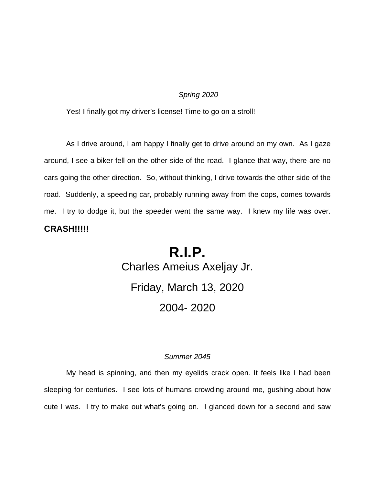## *Spring 2020*

Yes! I finally got my driver's license! Time to go on a stroll!

 As I drive around, I am happy I finally get to drive around on my own. As I gaze around, I see a biker fell on the other side of the road. I glance that way, there are no cars going the other direction. So, without thinking, I drive towards the other side of the road. Suddenly, a speeding car, probably running away from the cops, comes towards me. I try to dodge it, but the speeder went the same way. I knew my life was over. **CRASH!!!!!**

# **R.I.P.**  Charles Ameius Axeljay Jr. Friday, March 13, 2020 2004- 2020

## *Summer 2045*

 My head is spinning, and then my eyelids crack open. It feels like I had been sleeping for centuries. I see lots of humans crowding around me, gushing about how cute I was. I try to make out what's going on. I glanced down for a second and saw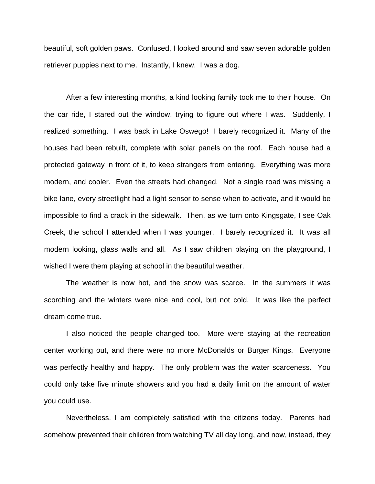beautiful, soft golden paws. Confused, I looked around and saw seven adorable golden retriever puppies next to me. Instantly, I knew. I was a dog.

 After a few interesting months, a kind looking family took me to their house. On the car ride, I stared out the window, trying to figure out where I was. Suddenly, I realized something. I was back in Lake Oswego! I barely recognized it. Many of the houses had been rebuilt, complete with solar panels on the roof. Each house had a protected gateway in front of it, to keep strangers from entering. Everything was more modern, and cooler. Even the streets had changed. Not a single road was missing a bike lane, every streetlight had a light sensor to sense when to activate, and it would be impossible to find a crack in the sidewalk. Then, as we turn onto Kingsgate, I see Oak Creek, the school I attended when I was younger. I barely recognized it. It was all modern looking, glass walls and all. As I saw children playing on the playground, I wished I were them playing at school in the beautiful weather.

 The weather is now hot, and the snow was scarce. In the summers it was scorching and the winters were nice and cool, but not cold. It was like the perfect dream come true.

 I also noticed the people changed too. More were staying at the recreation center working out, and there were no more McDonalds or Burger Kings. Everyone was perfectly healthy and happy. The only problem was the water scarceness. You could only take five minute showers and you had a daily limit on the amount of water you could use.

 Nevertheless, I am completely satisfied with the citizens today. Parents had somehow prevented their children from watching TV all day long, and now, instead, they